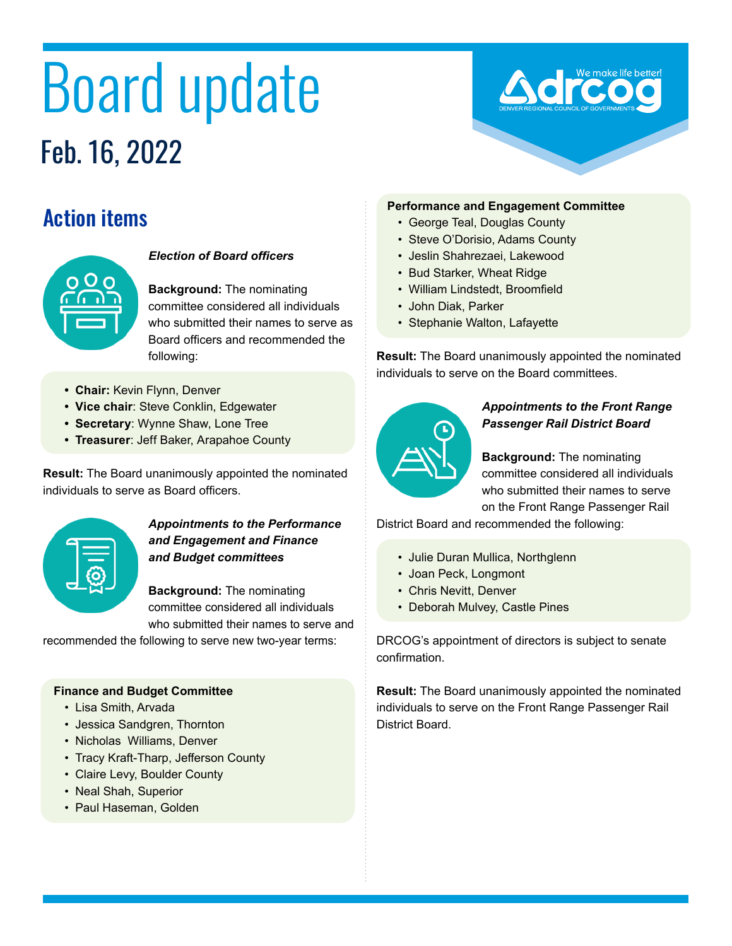# Board update Feb. 16, 2022



# Action items



#### *Election of Board officers*

**Background:** The nominating committee considered all individuals who submitted their names to serve as Board officers and recommended the following:

- **• Chair:** Kevin Flynn, Denver
- **• Vice chair**: Steve Conklin, Edgewater
- **• Secretary**: Wynne Shaw, Lone Tree
- **• Treasurer**: Jeff Baker, Arapahoe County

**Result:** The Board unanimously appointed the nominated individuals to serve as Board officers.



#### *Appointments to the Performance and Engagement and Finance and Budget committees*

**Background:** The nominating committee considered all individuals who submitted their names to serve and

recommended the following to serve new two-year terms:

#### **Finance and Budget Committee**

- Lisa Smith, Arvada
- Jessica Sandgren, Thornton
- Nicholas Williams, Denver
- Tracy Kraft-Tharp, Jefferson County
- Claire Levy, Boulder County
- Neal Shah, Superior
- Paul Haseman, Golden

#### **Performance and Engagement Committee**

- George Teal, Douglas County
- Steve O'Dorisio, Adams County
- Jeslin Shahrezaei, Lakewood
- Bud Starker, Wheat Ridge
- William Lindstedt, Broomfield
- John Diak, Parker
- Stephanie Walton, Lafayette

**Result:** The Board unanimously appointed the nominated individuals to serve on the Board committees.



#### *Appointments to the Front Range Passenger Rail District Board*

**Background:** The nominating committee considered all individuals who submitted their names to serve on the Front Range Passenger Rail

District Board and recommended the following:

- Julie Duran Mullica, Northglenn
- Joan Peck, Longmont
- Chris Nevitt, Denver
- Deborah Mulvey, Castle Pines

DRCOG's appointment of directors is subject to senate confirmation.

**Result:** The Board unanimously appointed the nominated individuals to serve on the Front Range Passenger Rail District Board.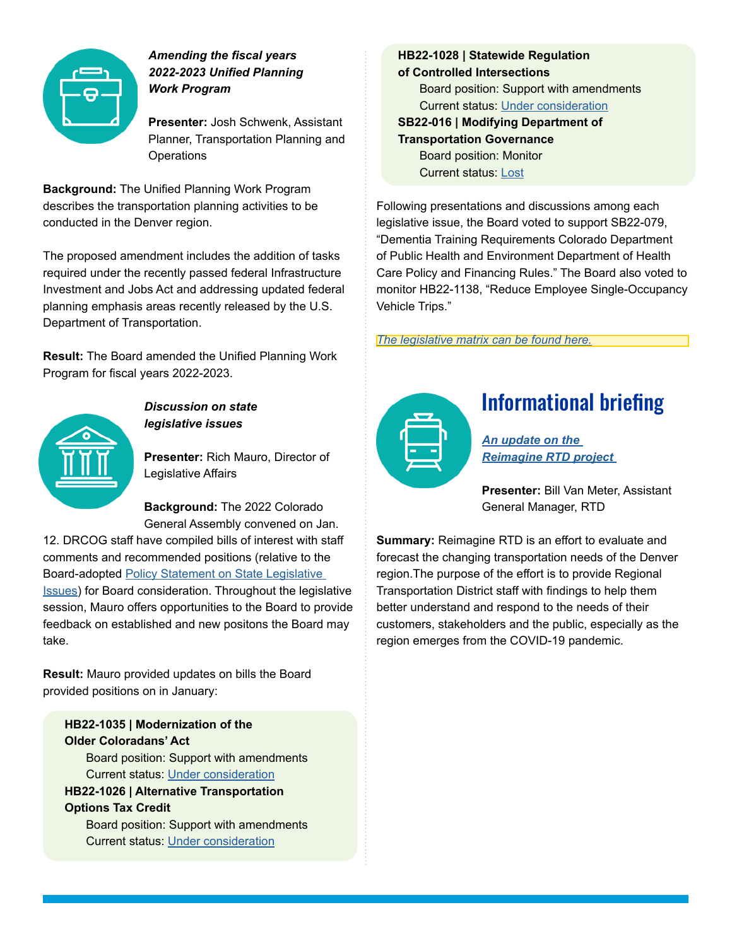

#### *Amending the fiscal years 2022-2023 Unified Planning Work Program*

**Presenter:** Josh Schwenk, Assistant Planner, Transportation Planning and **Operations** 

**Background:** The Unified Planning Work Program describes the transportation planning activities to be conducted in the Denver region.

The proposed amendment includes the addition of tasks required under the recently passed federal Infrastructure Investment and Jobs Act and addressing updated federal planning emphasis areas recently released by the U.S. Department of Transportation.

**Result:** The Board amended the Unified Planning Work Program for fiscal years 2022-2023.



#### *Discussion on state legislative issues*

**Presenter:** Rich Mauro, Director of Legislative Affairs

**Background:** The 2022 Colorado General Assembly convened on Jan.

12. DRCOG staff have compiled bills of interest with staff comments and recommended positions (relative to the Board-adopted [Policy Statement on State Legislative](https://drcog.org/sites/default/files/resources/EO-RP-22STATEPOLICY-22-01-21.pdf)  [Issues](https://drcog.org/sites/default/files/resources/EO-RP-22STATEPOLICY-22-01-21.pdf)) for Board consideration. Throughout the legislative session, Mauro offers opportunities to the Board to provide feedback on established and new positons the Board may take.

**Result:** Mauro provided updates on bills the Board provided positions on in January:

## **HB22-1035 | Modernization of the Older Coloradans' Act**

Board position: Support with amendments Current status: [Under consideration](https://leg.colorado.gov/bills/hb22-1035)

### **HB22-1026 | Alternative Transportation Options Tax Credit**

Board position: Support with amendments Current status: [Under consideration](https://leg.colorado.gov/bills/hb22-1026)

**HB22-1028 | Statewide Regulation of Controlled Intersections** Board position: Support with amendments Current status: [Under consideration](https://leg.colorado.gov/bills/hb22-1028) **SB22-016 | Modifying Department of Transportation Governance** Board position: Monitor Current status: [Lost](https://leg.colorado.gov/bills/sb22-016)

Following presentations and discussions among each legislative issue, the Board voted to support SB22-079, "Dementia Training Requirements Colorado Department of Public Health and Environment Department of Health Care Policy and Financing Rules." The Board also voted to monitor HB22-1138, "Reduce Employee Single-Occupancy Vehicle Trips."

*[The legislative matrix can be found here.](https://drcog.org/sites/default/files/resources/2022_January_Legislative_Update_0.pdf)*



## Informational briefing

*[An update on the](https://www.dropbox.com/scl/fi/y3q2v2pk3zbz9qi9v7pa5/L1-DRCOG-Board-RTD-Reimage-Presentation-2.16.22Final.pptx?dl=0&rlkey=wn829x05d571yv7i4j3tvnlzr)  [Reimagine RTD project](https://www.dropbox.com/scl/fi/y3q2v2pk3zbz9qi9v7pa5/L1-DRCOG-Board-RTD-Reimage-Presentation-2.16.22Final.pptx?dl=0&rlkey=wn829x05d571yv7i4j3tvnlzr)* 

**Presenter:** Bill Van Meter, Assistant General Manager, RTD

**Summary:** Reimagine RTD is an effort to evaluate and forecast the changing transportation needs of the Denver region.The purpose of the effort is to provide Regional Transportation District staff with findings to help them better understand and respond to the needs of their customers, stakeholders and the public, especially as the region emerges from the COVID-19 pandemic.